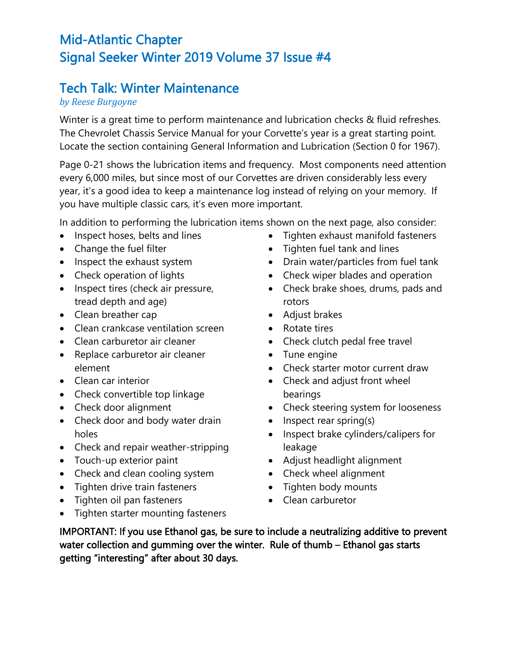## Mid-Atlantic Chapter Signal Seeker Winter 2019 Volume 37 Issue #4

## Tech Talk: Winter Maintenance

## *by Reese Burgoyne*

Winter is a great time to perform maintenance and lubrication checks & fluid refreshes. The Chevrolet Chassis Service Manual for your Corvette's year is a great starting point. Locate the section containing General Information and Lubrication (Section 0 for 1967).

Page 0-21 shows the lubrication items and frequency. Most components need attention every 6,000 miles, but since most of our Corvettes are driven considerably less every year, it's a good idea to keep a maintenance log instead of relying on your memory. If you have multiple classic cars, it's even more important.

In addition to performing the lubrication items shown on the next page, also consider:

- Inspect hoses, belts and lines
- Change the fuel filter
- Inspect the exhaust system
- Check operation of lights
- Inspect tires (check air pressure, tread depth and age)
- Clean breather cap
- Clean crankcase ventilation screen
- Clean carburetor air cleaner
- Replace carburetor air cleaner element
- Clean car interior
- Check convertible top linkage
- Check door alignment
- Check door and body water drain holes
- Check and repair weather-stripping
- Touch-up exterior paint
- Check and clean cooling system
- Tighten drive train fasteners
- Tighten oil pan fasteners
- Tighten starter mounting fasteners
- Tighten exhaust manifold fasteners
- Tighten fuel tank and lines
- Drain water/particles from fuel tank
- Check wiper blades and operation
- Check brake shoes, drums, pads and rotors
- Adjust brakes
- Rotate tires
- Check clutch pedal free travel
- Tune engine
- Check starter motor current draw
- Check and adjust front wheel bearings
- Check steering system for looseness
- Inspect rear spring(s)
- Inspect brake cylinders/calipers for leakage
- Adjust headlight alignment
- Check wheel alignment
- Tighten body mounts
- Clean carburetor

IMPORTANT: If you use Ethanol gas, be sure to include a neutralizing additive to prevent water collection and gumming over the winter. Rule of thumb – Ethanol gas starts getting "interesting" after about 30 days.